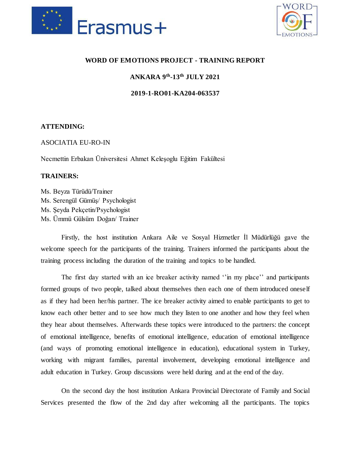



## **WORD OF EMOTIONS PROJECT - TRAINING REPORT**

**ANKARA 9th -13th JULY 2021**

**2019-1-RO01-KA204-063537**

## **ATTENDING:**

ASOCIATIA EU-RO-IN

Necmettin Erbakan Üniversitesi Ahmet Keleşoglu Eğitim Fakültesi

## **TRAINERS:**

Ms. Beyza Türüdü/Trainer Ms. Serengül Gümüş/ Psychologist Ms. Şeyda Pekçetin/Psychologist Ms. Ümmü Gülsüm Doğan/ Trainer

Firstly, the host institution Ankara Aile ve Sosyal Hizmetler İl Müdürlüğü gave the welcome speech for the participants of the training. Trainers informed the participants about the training process including the duration of the training and topics to be handled.

The first day started with an ice breaker activity named ''in my place'' and participants formed groups of two people, talked about themselves then each one of them introduced oneself as if they had been her/his partner. The ice breaker activity aimed to enable participants to get to know each other better and to see how much they listen to one another and how they feel when they hear about themselves. Afterwards these topics were introduced to the partners: the concept of emotional intelligence, benefits of emotional intelligence, education of emotional intelligence (and ways of promoting emotional intelligence in education), educational system in Turkey, working with migrant families, parental involvement, developing emotional intelligence and adult education in Turkey. Group discussions were held during and at the end of the day.

On the second day the host institution Ankara Provincial Directorate of Family and Social Services presented the flow of the 2nd day after welcoming all the participants. The topics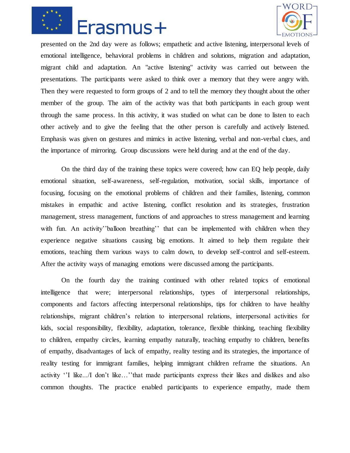



presented on the 2nd day were as follows; empathetic and active listening, interpersonal levels of emotional intelligence, behavioral problems in children and solutions, migration and adaptation, migrant child and adaptation. An "active listening" activity was carried out between the presentations. The participants were asked to think over a memory that they were angry with. Then they were requested to form groups of 2 and to tell the memory they thought about the other member of the group. The aim of the activity was that both participants in each group went through the same process. In this activity, it was studied on what can be done to listen to each other actively and to give the feeling that the other person is carefully and actively listened. Emphasis was given on gestures and mimics in active listening, verbal and non-verbal clues, and the importance of mirroring. Group discussions were held during and at the end of the day.

On the third day of the training these topics were covered; how can EQ help people, daily emotional situation, self-awareness, self-regulation, motivation, social skills, importance of focusing, focusing on the emotional problems of children and their families, listening, common mistakes in empathic and active listening, conflict resolution and its strategies, frustration management, stress management, functions of and approaches to stress management and learning with fun. An activity''balloon breathing'' that can be implemented with children when they experience negative situations causing big emotions. It aimed to help them regulate their emotions, teaching them various ways to calm down, to develop self-control and self-esteem. After the activity ways of managing emotions were discussed among the participants.

On the fourth day the training continued with other related topics of emotional intelligence that were; interpersonal relationships, types of interpersonal relationships, components and factors affecting interpersonal relationships, tips for children to have healthy relationships, migrant children's relation to interpersonal relations, interpersonal activities for kids, social responsibility, flexibility, adaptation, tolerance, flexible thinking, teaching flexibility to children, empathy circles, learning empathy naturally, teaching empathy to children, benefits of empathy, disadvantages of lack of empathy, reality testing and its strategies, the importance of reality testing for immigrant families, helping immigrant children reframe the situations. An activity ''I like.../I don't like…''that made participants express their likes and dislikes and also common thoughts. The practice enabled participants to experience empathy, made them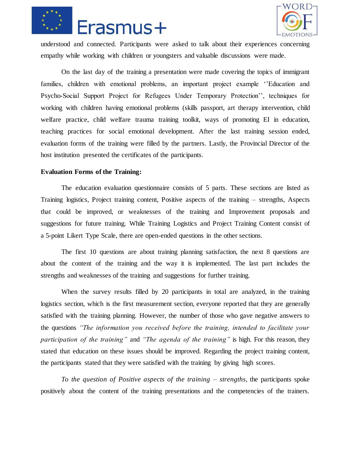



understood and connected. Participants were asked to talk about their experiences concerning empathy while working with children or youngsters and valuable discussions were made.

On the last day of the training a presentation were made covering the topics of immigrant families, children with emotional problems, an important project example ''Education and Psycho-Social Support Project for Refugees Under Temporary Protection'', techniques for working with children having emotional problems (skills passport, art therapy intervention, child welfare practice, child welfare trauma training toolkit, ways of promoting EI in education, teaching practices for social emotional development. After the last training session ended, evaluation forms of the training were filled by the partners. Lastly, the Provincial Director of the host institution presented the certificates of the participants.

## **Evaluation Forms of the Training:**

The education evaluation questionnaire consists of 5 parts. These sections are listed as Training logistics, Project training content, Positive aspects of the training – strengths, Aspects that could be improved, or weaknesses of the training and Improvement proposals and suggestions for future training. While Training Logistics and Project Training Content consist of a 5-point Likert Type Scale, there are open-ended questions in the other sections.

The first 10 questions are about training planning satisfaction, the next 8 questions are about the content of the training and the way it is implemented. The last part includes the strengths and weaknesses of the training and suggestions for further training.

When the survey results filled by 20 participants in total are analyzed, in the training logistics section, which is the first measurement section, everyone reported that they are generally satisfied with the training planning. However, the number of those who gave negative answers to the questions *"The information you received before the training, intended to facilitate your participation of the training"* and *"The agenda of the training"* is high. For this reason, they stated that education on these issues should be improved. Regarding the project training content, the participants stated that they were satisfied with the training by giving high scores.

*To the question of Positive aspects of the training – strengths*, the participants spoke positively about the content of the training presentations and the competencies of the trainers.